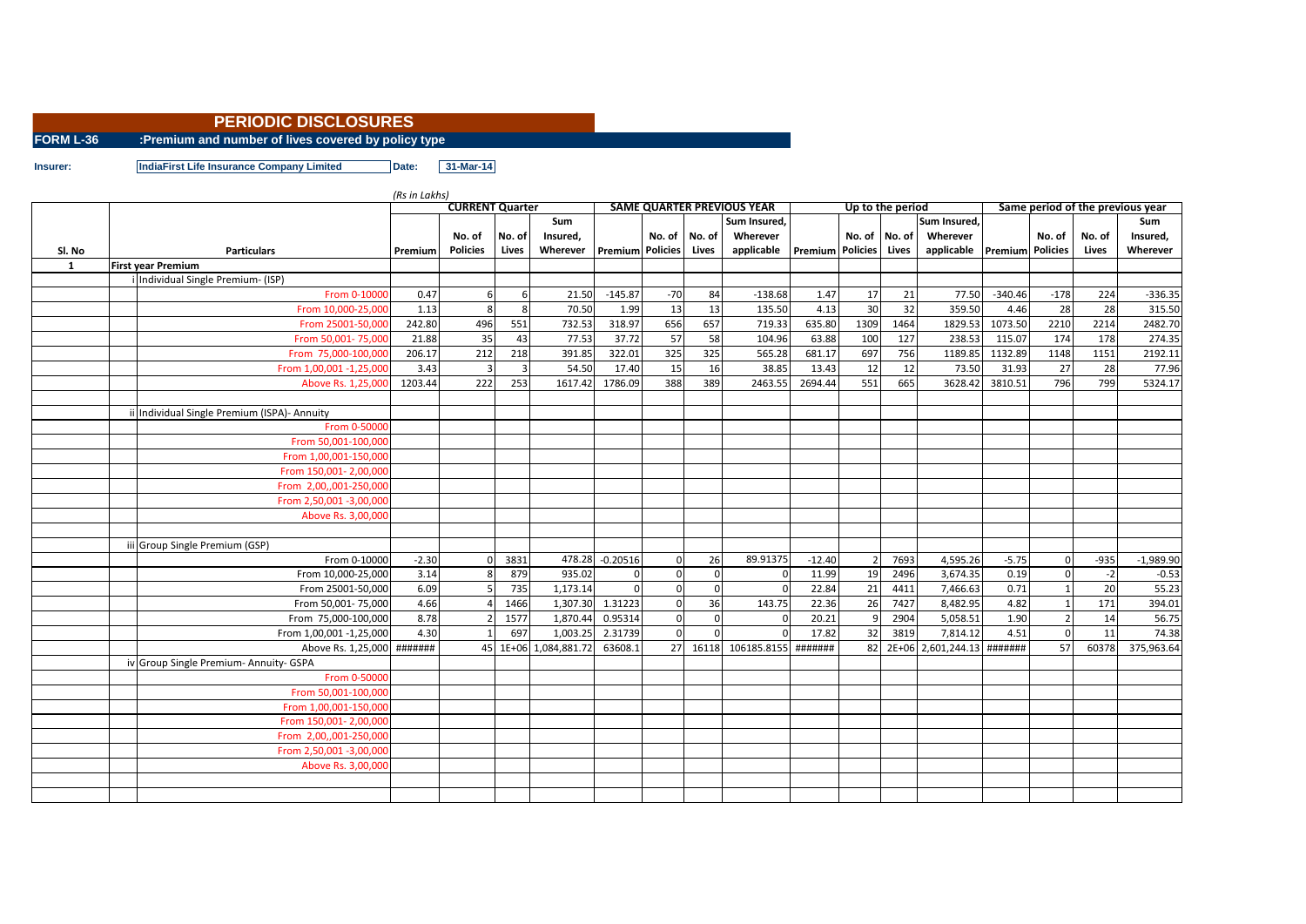## **PERIODIC DISCLOSURES**

**FORM L-36 :Premium and number of lives covered by policy type**

**Insurer: IndiaFirst Life Insurance Company Limited Date: 31-Mar-14**

|        |                                           | <b>CURRENT Quarter</b> |                 |        |                    |                         |              |                | <b>SAME QUARTER PREVIOUS YEAR</b> |                         | Up to the period |         |                      | Same period of the previous year |                |        |             |  |
|--------|-------------------------------------------|------------------------|-----------------|--------|--------------------|-------------------------|--------------|----------------|-----------------------------------|-------------------------|------------------|---------|----------------------|----------------------------------|----------------|--------|-------------|--|
|        |                                           |                        |                 |        | Sum                |                         |              |                | Sum Insured,                      |                         |                  |         | Sum Insured,         |                                  |                |        | <b>Sum</b>  |  |
|        |                                           |                        | No. of          | No. of | Insured,           |                         | No. of I     | No. of         | Wherever                          |                         | No. of No. of    |         | Wherever             |                                  | No. of         | No. of | Insured,    |  |
| Sl. No | <b>Particulars</b>                        | Premium                | <b>Policies</b> | Lives  | Wherever           | <b>Premium Policies</b> |              | Lives          | applicable                        | <b>Premium</b> Policies |                  | Lives   | applicable           | <b>Premium</b> Policies          |                | Lives  | Wherever    |  |
| 1      | <b>First vear Premium</b>                 |                        |                 |        |                    |                         |              |                |                                   |                         |                  |         |                      |                                  |                |        |             |  |
|        | i Individual Single Premium- (ISP)        |                        |                 |        |                    |                         |              |                |                                   |                         |                  |         |                      |                                  |                |        |             |  |
|        | From 0-10000                              | 0.47                   |                 | 6      | 21.50              | $-145.87$               | $-70$        | 84             | $-138.68$                         | 1.47                    | 17               | 21      | 77.50                | $-340.46$                        | $-178$         | 224    | $-336.35$   |  |
|        | From 10.000-25.000                        | 1.13                   |                 | 8      | 70.50              | 1.99                    | 13           | 13             | 135.50                            | 4.13                    | 30               | 32      | 359.50               | 4.46                             | 28             | 28     | 315.50      |  |
|        | From 25001-50.000                         | 242.80                 | 496             | 551    | 732.53             | 318.97                  | 656          | 657            | 719.33                            | 635.80                  | 1309             | 1464    | 1829.53              | 1073.50                          | 2210           | 2214   | 2482.70     |  |
|        | From 50,001-75,000                        | 21.88                  | 35              | 43     | 77.53              | 37.72                   | 57           | 58             | 104.96                            | 63.88                   | 100              | 127     | 238.53               | 115.07                           | 174            | 178    | 274.35      |  |
|        | From 75,000-100,000                       | 206.17                 | 212             | 218    | 391.85             | 322.01                  | 325          | 325            | 565.28                            | 681.17                  | 697              | 756     | 1189.85              | 1132.89                          | 1148           | 1151   | 2192.11     |  |
|        | From 1,00,001 -1,25,000                   | 3.43                   |                 | 3      | 54.50              | 17.40                   | 15           | 16             | 38.85                             | 13.43                   | 12               | 12      | 73.50                | 31.93                            | 27             | 28     | 77.96       |  |
|        | Above Rs. 1,25,000                        | 1203.44                | 222             | 253    | 1617.42            | 1786.09                 | 388          | 389            | 2463.55                           | 2694.44                 | 551              | 665     | 3628.42              | 3810.51                          | 796            | 799    | 5324.17     |  |
|        |                                           |                        |                 |        |                    |                         |              |                |                                   |                         |                  |         |                      |                                  |                |        |             |  |
|        | Individual Single Premium (ISPA)- Annuity |                        |                 |        |                    |                         |              |                |                                   |                         |                  |         |                      |                                  |                |        |             |  |
|        | From 0-50000                              |                        |                 |        |                    |                         |              |                |                                   |                         |                  |         |                      |                                  |                |        |             |  |
|        | From 50,001-100,000                       |                        |                 |        |                    |                         |              |                |                                   |                         |                  |         |                      |                                  |                |        |             |  |
|        | From 1,00,001-150,000                     |                        |                 |        |                    |                         |              |                |                                   |                         |                  |         |                      |                                  |                |        |             |  |
|        | From 150,001- 2,00,000                    |                        |                 |        |                    |                         |              |                |                                   |                         |                  |         |                      |                                  |                |        |             |  |
|        | From 2,00,,001-250,000                    |                        |                 |        |                    |                         |              |                |                                   |                         |                  |         |                      |                                  |                |        |             |  |
|        | From 2,50,001 -3,00,000                   |                        |                 |        |                    |                         |              |                |                                   |                         |                  |         |                      |                                  |                |        |             |  |
|        | Above Rs. 3,00,000                        |                        |                 |        |                    |                         |              |                |                                   |                         |                  |         |                      |                                  |                |        |             |  |
|        |                                           |                        |                 |        |                    |                         |              |                |                                   |                         |                  |         |                      |                                  |                |        |             |  |
|        | iii Group Single Premium (GSP)            |                        |                 |        |                    |                         |              |                |                                   |                         |                  |         |                      |                                  |                |        |             |  |
|        | From 0-10000                              | $-2.30$                |                 | 3831   |                    | 478.28 -0.20516         | $\Omega$     | 26             | 89.91375                          | $-12.40$                | $\overline{2}$   | 7693    | 4,595.26             | $-5.75$                          | $\mathbf 0$    | $-935$ | $-1,989.90$ |  |
|        | From 10,000-25,000                        | 3.14                   |                 | 879    | 935.02             | $\mathbf{0}$            | $\mathbf{0}$ | $\mathbf{0}$   |                                   | 11.99                   | 19               | 2496    | 3,674.35             | 0.19                             | $\pmb{0}$      | $-2$   | $-0.53$     |  |
|        | From 25001-50,000                         | 6.09                   |                 | 735    | 1,173.14           |                         | $\Omega$     | $\Omega$       |                                   | 22.84                   | 21               | 4411    | 7,466.63             | 0.71                             |                | 20     | 55.23       |  |
|        | From 50,001-75,000                        | 4.66                   |                 | 1466   | 1,307.30           | 1.31223                 | $\Omega$     | 36             | 143.75                            | 22.36                   | 26               | 7427    | 8,482.95             | 4.82                             |                | 171    | 394.01      |  |
|        | From 75,000-100,000                       | 8.78                   |                 | 1577   | 1,870.44           | 0.95314                 | $\mathbf{0}$ | $\overline{0}$ |                                   | 20.21                   | 9                | 2904    | 5,058.51             | 1.90                             | $\overline{2}$ | 14     | 56.75       |  |
|        | From 1,00,001 -1,25,000                   | 4.30                   |                 | 697    | 1,003.25           | 2.31739                 | $\mathbf{0}$ | $\Omega$       |                                   | 17.82                   | 32               | 3819    | 7,814.12             | 4.51                             | $\mathbf 0$    | 11     | 74.38       |  |
|        | Above Rs. 1,25,000 #######                |                        | 45              |        | 1E+06 1,084,881.72 | 63608.1                 | 27           | 16118          | 106185.8155                       | #######                 | 82               | $2E+06$ | 2,601,244.13 ####### |                                  | 57             | 60378  | 375,963.64  |  |
|        | iv Group Single Premium- Annuity- GSPA    |                        |                 |        |                    |                         |              |                |                                   |                         |                  |         |                      |                                  |                |        |             |  |
|        | From 0-50000                              |                        |                 |        |                    |                         |              |                |                                   |                         |                  |         |                      |                                  |                |        |             |  |
|        | From 50,001-100,000                       |                        |                 |        |                    |                         |              |                |                                   |                         |                  |         |                      |                                  |                |        |             |  |
|        | From 1,00,001-150,000                     |                        |                 |        |                    |                         |              |                |                                   |                         |                  |         |                      |                                  |                |        |             |  |
|        | From 150,001- 2,00,000                    |                        |                 |        |                    |                         |              |                |                                   |                         |                  |         |                      |                                  |                |        |             |  |
|        | From 2,00,,001-250,000                    |                        |                 |        |                    |                         |              |                |                                   |                         |                  |         |                      |                                  |                |        |             |  |
|        | From 2,50,001 -3,00,000                   |                        |                 |        |                    |                         |              |                |                                   |                         |                  |         |                      |                                  |                |        |             |  |
|        | Above Rs. 3,00,000                        |                        |                 |        |                    |                         |              |                |                                   |                         |                  |         |                      |                                  |                |        |             |  |
|        |                                           |                        |                 |        |                    |                         |              |                |                                   |                         |                  |         |                      |                                  |                |        |             |  |
|        |                                           |                        |                 |        |                    |                         |              |                |                                   |                         |                  |         |                      |                                  |                |        |             |  |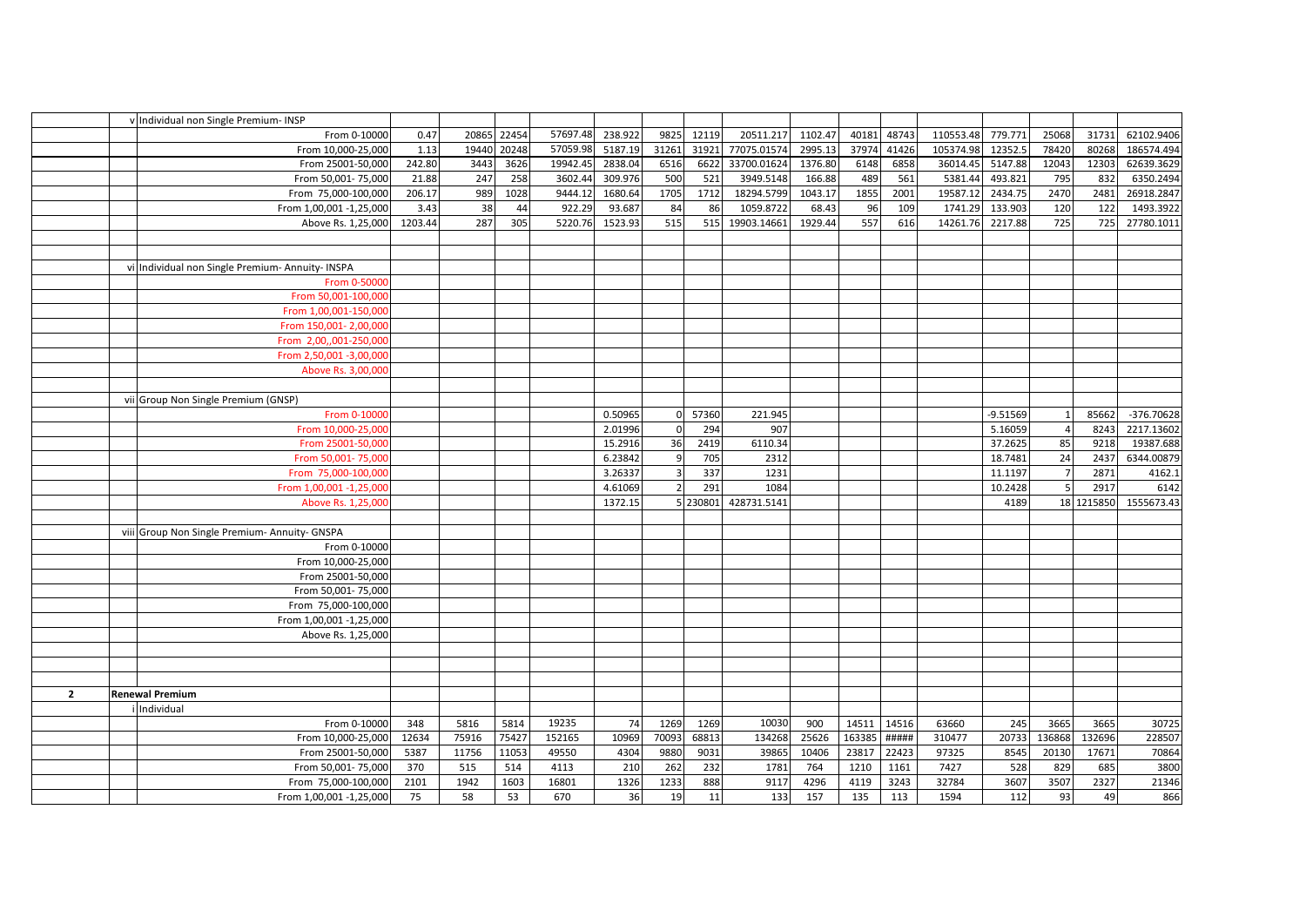|                | v Individual non Single Premium- INSP            |         |       |       |          |         |          |          |             |         |        |       |           |            |                |            |              |
|----------------|--------------------------------------------------|---------|-------|-------|----------|---------|----------|----------|-------------|---------|--------|-------|-----------|------------|----------------|------------|--------------|
|                | From 0-10000                                     | 0.47    | 20865 | 22454 | 57697.48 | 238.922 | 9825     | 12119    | 20511.217   | 1102.47 | 40181  | 48743 | 110553.48 | 779.771    | 25068          | 31731      | 62102.9406   |
|                | From 10,000-25,000                               | 1.13    | 19440 | 20248 | 57059.98 | 5187.19 | 31261    | 31921    | 77075.01574 | 2995.13 | 37974  | 41426 | 105374.98 | 12352.5    | 78420          | 80268      | 186574.494   |
|                | From 25001-50,000                                | 242.80  | 3443  | 3626  | 19942.45 | 2838.04 | 6516     | 6622     | 33700.01624 | 1376.80 | 6148   | 6858  | 36014.45  | 5147.88    | 12043          | 12303      | 62639.3629   |
|                | From 50,001-75,000                               | 21.88   | 247   | 258   | 3602.44  | 309.976 | 500      | 521      | 3949.5148   | 166.88  | 489    | 561   | 5381.44   | 493.821    | 795            | 832        | 6350.2494    |
|                | From 75,000-100,000                              | 206.17  | 989   | 1028  | 9444.12  | 1680.64 | 1705     | 1712     | 18294.5799  | 1043.17 | 1855   | 2001  | 19587.12  | 2434.75    | 2470           | 2481       | 26918.2847   |
|                | From 1,00,001 -1,25,000                          | 3.43    | 38    | 44    | 922.29   | 93.687  | 84       | 86       | 1059.8722   | 68.43   | 96     | 109   | 1741.29   | 133.903    | 120            | 122        | 1493.3922    |
|                | Above Rs. 1,25,000                               | 1203.44 | 287   | 305   | 5220.76  | 1523.93 | 515      | 515      | 19903.14661 | 1929.44 | 557    | 616   | 14261.76  | 2217.88    | 725            | 725        | 27780.1011   |
|                |                                                  |         |       |       |          |         |          |          |             |         |        |       |           |            |                |            |              |
|                |                                                  |         |       |       |          |         |          |          |             |         |        |       |           |            |                |            |              |
|                | vi Individual non Single Premium- Annuity- INSPA |         |       |       |          |         |          |          |             |         |        |       |           |            |                |            |              |
|                | From 0-50000                                     |         |       |       |          |         |          |          |             |         |        |       |           |            |                |            |              |
|                | From 50,001-100,000                              |         |       |       |          |         |          |          |             |         |        |       |           |            |                |            |              |
|                | From 1,00,001-150,000                            |         |       |       |          |         |          |          |             |         |        |       |           |            |                |            |              |
|                | From 150,001-2,00,000                            |         |       |       |          |         |          |          |             |         |        |       |           |            |                |            |              |
|                | From 2,00,,001-250,000                           |         |       |       |          |         |          |          |             |         |        |       |           |            |                |            |              |
|                | From 2,50,001 -3,00,000                          |         |       |       |          |         |          |          |             |         |        |       |           |            |                |            |              |
|                | Above Rs. 3,00,000                               |         |       |       |          |         |          |          |             |         |        |       |           |            |                |            |              |
|                |                                                  |         |       |       |          |         |          |          |             |         |        |       |           |            |                |            |              |
|                | vii Group Non Single Premium (GNSP)              |         |       |       |          |         |          |          |             |         |        |       |           |            |                |            |              |
|                | From 0-10000                                     |         |       |       |          | 0.50965 | $\Omega$ | 57360    | 221.945     |         |        |       |           | $-9.51569$ |                | 85662      | $-376.70628$ |
|                | From 10,000-25,000                               |         |       |       |          | 2.01996 |          | 294      | 907         |         |        |       |           | 5.16059    |                | 8243       | 2217.13602   |
|                | From 25001-50,000                                |         |       |       |          | 15.2916 | 36       | 2419     | 6110.34     |         |        |       |           | 37.2625    | 85             | 9218       | 19387.688    |
|                | From 50,001-75,000                               |         |       |       |          | 6.23842 |          | 705      | 2312        |         |        |       |           | 18.7481    | 24             | 2437       | 6344.00879   |
|                | From 75,000-100,000                              |         |       |       |          | 3.26337 |          | 337      | 1231        |         |        |       |           | 11.1197    |                | 2871       | 4162.1       |
|                | From 1,00,001 -1,25,000                          |         |       |       |          | 4.61069 |          | 291      | 1084        |         |        |       |           | 10.2428    | 5 <sup>1</sup> | 2917       | 6142         |
|                | Above Rs. 1,25,000                               |         |       |       |          | 1372.15 |          | 5 230801 | 428731.5141 |         |        |       |           | 4189       |                | 18 1215850 | 1555673.43   |
|                |                                                  |         |       |       |          |         |          |          |             |         |        |       |           |            |                |            |              |
|                | viii Group Non Single Premium- Annuity- GNSPA    |         |       |       |          |         |          |          |             |         |        |       |           |            |                |            |              |
|                | From 0-10000                                     |         |       |       |          |         |          |          |             |         |        |       |           |            |                |            |              |
|                | From 10,000-25,000                               |         |       |       |          |         |          |          |             |         |        |       |           |            |                |            |              |
|                | From 25001-50,000                                |         |       |       |          |         |          |          |             |         |        |       |           |            |                |            |              |
|                | From 50,001-75,000                               |         |       |       |          |         |          |          |             |         |        |       |           |            |                |            |              |
|                | From 75,000-100,000                              |         |       |       |          |         |          |          |             |         |        |       |           |            |                |            |              |
|                | From 1,00,001 -1,25,000                          |         |       |       |          |         |          |          |             |         |        |       |           |            |                |            |              |
|                | Above Rs. 1,25,000                               |         |       |       |          |         |          |          |             |         |        |       |           |            |                |            |              |
|                |                                                  |         |       |       |          |         |          |          |             |         |        |       |           |            |                |            |              |
|                |                                                  |         |       |       |          |         |          |          |             |         |        |       |           |            |                |            |              |
|                |                                                  |         |       |       |          |         |          |          |             |         |        |       |           |            |                |            |              |
| $\overline{2}$ | <b>Renewal Premium</b>                           |         |       |       |          |         |          |          |             |         |        |       |           |            |                |            |              |
|                | i Individual                                     |         |       |       |          |         |          |          |             |         |        |       |           |            |                |            |              |
|                | From 0-10000                                     | 348     | 5816  | 5814  | 19235    | 74      | 1269     | 1269     | 10030       | 900     | 14511  | 14516 | 63660     | 245        | 3665           | 3665       | 30725        |
|                | From 10,000-25,000                               | 12634   | 75916 | 75427 | 152165   | 10969   | 70093    | 68813    | 134268      | 25626   | 163385 | ##### | 310477    | 20733      | 136868         | 132696     | 228507       |
|                | From 25001-50,000                                | 5387    | 11756 | 11053 | 49550    | 4304    | 9880     | 9031     | 39865       | 10406   | 23817  | 22423 | 97325     | 8545       | 20130          | 17671      | 70864        |
|                | From 50,001-75,000                               | 370     | 515   | 514   | 4113     | 210     | 262      | 232      | 1781        | 764     | 1210   | 1161  | 7427      | 528        | 829            | 685        | 3800         |
|                | From 75,000-100,000                              | 2101    | 1942  | 1603  | 16801    | 1326    | 1233     | 888      | 9117        | 4296    | 4119   | 3243  | 32784     | 3607       | 3507           | 2327       | 21346        |
|                | From 1,00,001 -1,25,000                          | 75      | 58    | 53    | 670      | 36      | 19       | 11       | 133         | 157     | 135    | 113   | 1594      | 112        | 93             | 49         | 866          |